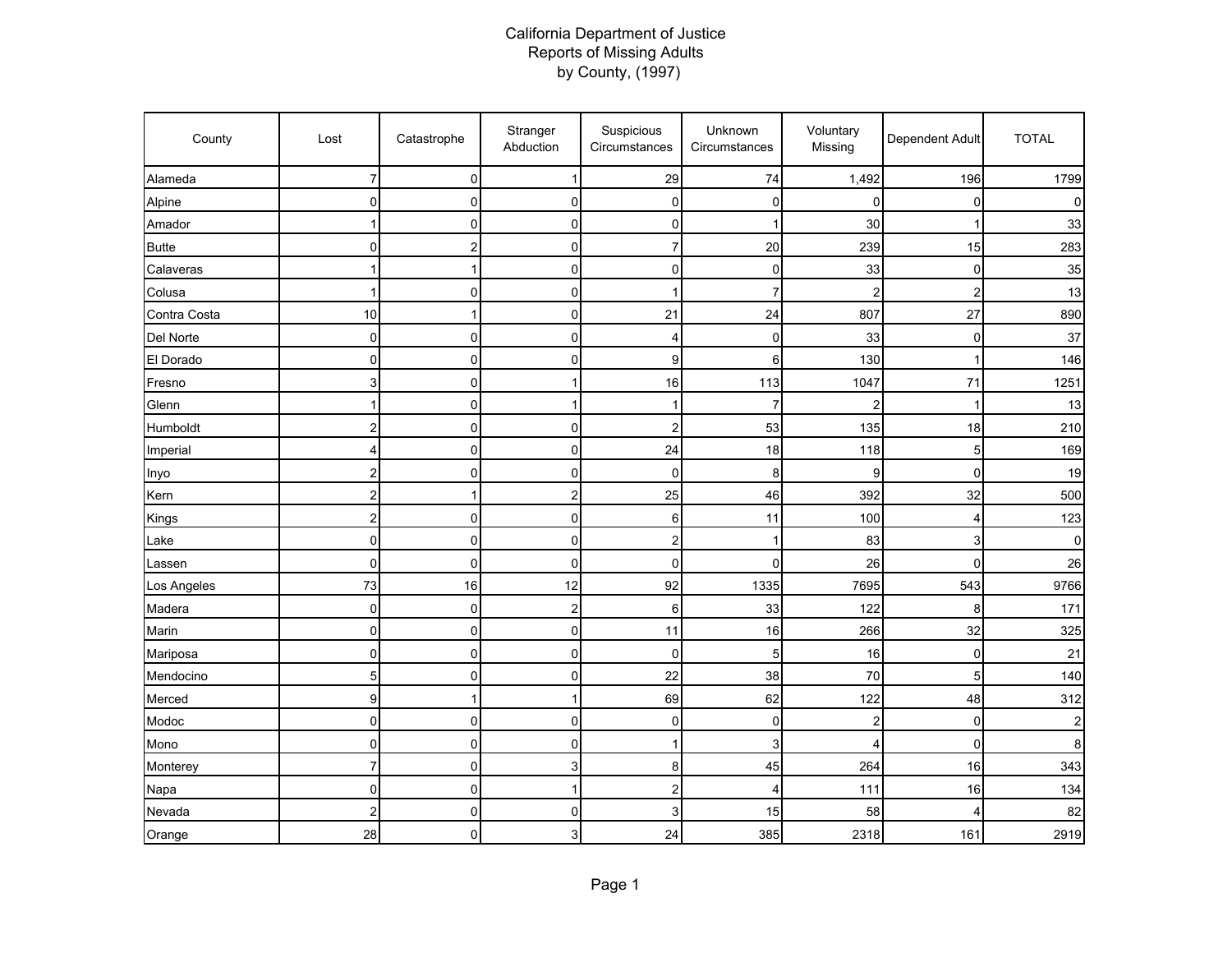## California Department of Justice Reports of Missing Adults by County, (1997)

| County       | Lost                    | Catastrophe  | Stranger<br>Abduction   | Suspicious<br>Circumstances | Unknown<br>Circumstances | Voluntary<br>Missing    | Dependent Adult | <b>TOTAL</b> |
|--------------|-------------------------|--------------|-------------------------|-----------------------------|--------------------------|-------------------------|-----------------|--------------|
| Alameda      | 7                       | 0            | 1                       | 29                          | 74                       | 1,492                   | 196             | 1799         |
| Alpine       | 0                       | 0            | 0                       | 0                           | 0                        | $\mathbf 0$             | 0               | n            |
| Amador       |                         | $\mathbf 0$  | 0                       | 0                           |                          | 30                      | 1               | 33           |
| <b>Butte</b> | 0                       | 2            | 0                       | 7                           | 20                       | 239                     | 15              | 283          |
| Calaveras    | 1                       | 1            | 0                       | 0                           | 0                        | 33                      | $\mathbf 0$     | 35           |
| Colusa       | 1                       | 0            | 0                       | $\mathbf{1}$                | 7                        | 2                       | $\overline{c}$  | 13           |
| Contra Costa | 10                      | 1            | 0                       | 21                          | 24                       | 807                     | 27              | 890          |
| Del Norte    | $\mathbf 0$             | $\mathbf 0$  | 0                       | 4                           | 0                        | 33                      | 0               | 37           |
| El Dorado    | $\pmb{0}$               | $\pmb{0}$    | 0                       | 9                           | 6                        | 130                     | 1               | 146          |
| Fresno       | 3                       | $\pmb{0}$    | 1                       | 16                          | 113                      | 1047                    | 71              | 1251         |
| Glenn        |                         | 0            | 1                       | 1                           | $\overline{7}$           | 2                       |                 | 13           |
| Humboldt     | 2                       | 0            | 0                       | 2                           | 53                       | 135                     | 18              | 210          |
| Imperial     | 4                       | $\mathbf 0$  | 0                       | 24                          | 18                       | 118                     | 5               | 169          |
| Inyo         | $\overline{c}$          | $\mathbf 0$  | 0                       | 0                           | 8                        | 9                       | $\mathbf 0$     | 19           |
| Kern         | $\overline{\mathbf{c}}$ | $\mathbf{1}$ | $\overline{\mathbf{c}}$ | 25                          | 46                       | 392                     | 32              | 500          |
| Kings        | $\overline{c}$          | $\mathbf 0$  | 0                       | 6                           | 11                       | 100                     | 4               | 123          |
| Lake         | $\mathbf 0$             | 0            | 0                       | $\overline{\mathbf{c}}$     | 1                        | 83                      | 3               | $\Omega$     |
| Lassen       | $\mathbf 0$             | $\mathbf 0$  | 0                       | 0                           | 0                        | 26                      | $\Omega$        | 26           |
| Los Angeles  | 73                      | 16           | 12                      | 92                          | 1335                     | 7695                    | 543             | 9766         |
| Madera       | 0                       | 0            | 2                       | 6                           | 33                       | 122                     | 8               | 171          |
| Marin        | 0                       | 0            | 0                       | 11                          | 16                       | 266                     | 32              | 325          |
| Mariposa     | $\pmb{0}$               | $\pmb{0}$    | 0                       | 0                           | 5                        | 16                      | $\mathbf 0$     | 21           |
| Mendocino    | $\overline{5}$          | $\pmb{0}$    | 0                       | 22                          | 38                       | 70                      | 5               | 140          |
| Merced       | 9                       | 1            | 1                       | 69                          | 62                       | 122                     | 48              | 312          |
| Modoc        | 0                       | 0            | 0                       | 0                           | 0                        | $\overline{\mathbf{c}}$ | $\mathbf 0$     |              |
| Mono         | 0                       | 0            | 0                       | 1                           | 3                        | 4                       | $\Omega$        | 8            |
| Monterey     | $\overline{7}$          | $\mathbf 0$  | 3                       | 8                           | 45                       | 264                     | 16              | 343          |
| Napa         | $\overline{0}$          | $\pmb{0}$    | 1                       | $\overline{\mathbf{c}}$     | 4                        | 111                     | 16              | 134          |
| Nevada       | $\overline{c}$          | $\mathbf 0$  | 0                       | 3                           | 15                       | 58                      | 4               | 82           |
| Orange       | 28                      | 0            | 3                       | 24                          | 385                      | 2318                    | 161             | 2919         |